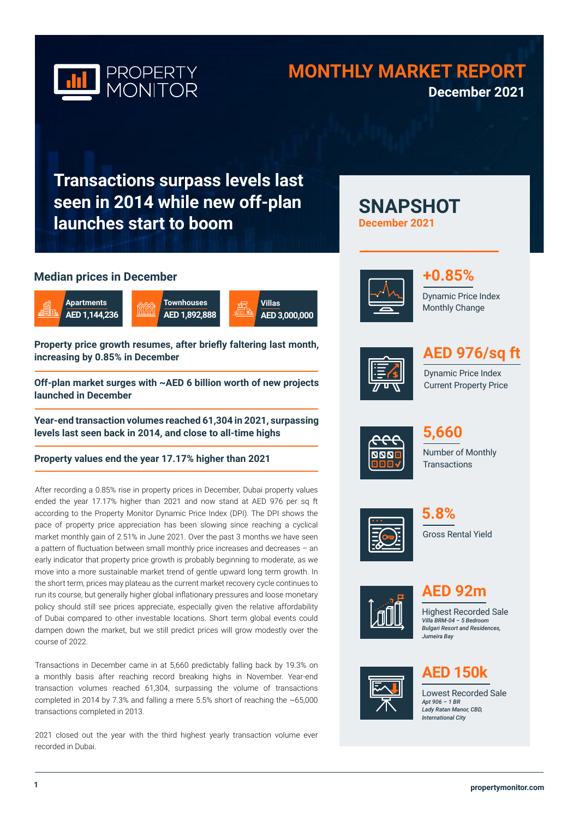

# **MONTHLY MARKET REPORT December 2021**

**SNAPSHOT** 

**December 2021**

**Transactions surpass levels last seen in 2014 while new off-plan launches start to boom**

# **Median prices in December**







**Property price growth resumes, after briefly faltering last month, increasing by 0.85% in December**

**Off-plan market surges with ~AED 6 billion worth of new projects launched in December**

**Year-end transaction volumes reached 61,304 in 2021, surpassing levels last seen back in 2014, and close to all-time highs** 

**Property values end the year 17.17% higher than 2021** 

After recording a 0.85% rise in property prices in December, Dubai property values ended the year 17.17% higher than 2021 and now stand at AED 976 per sq ft according to the Property Monitor Dynamic Price Index (DPI). The DPI shows the pace of property price appreciation has been slowing since reaching a cyclical market monthly gain of 2.51% in June 2021. Over the past 3 months we have seen a pattern of fluctuation between small monthly price increases and decreases – an early indicator that property price growth is probably beginning to moderate, as we move into a more sustainable market trend of gentle upward long term growth. In the short term, prices may plateau as the current market recovery cycle continues to run its course, but generally higher global inflationary pressures and loose monetary policy should still see prices appreciate, especially given the relative affordability of Dubai compared to other investable locations. Short term global events could dampen down the market, but we still predict prices will grow modestly over the course of 2022.

Transactions in December came in at 5,660 predictably falling back by 19.3% on a monthly basis after reaching record breaking highs in November. Year-end transaction volumes reached 61,304, surpassing the volume of transactions completed in 2014 by 7.3% and falling a mere 5.5% short of reaching the ~65,000 transactions completed in 2013.

2021 closed out the year with the third highest yearly transaction volume ever recorded in Dubai.





Dynamic Price Index Monthly Change



# **AED 976/sq ft**

Dynamic Price Index Current Property Price



Number of Monthly **Transactions 5,660** 







**AED 92m**

Highest Recorded Sale *Villa BRM-04 – 5 Bedroom Bulgari Resort and Residences, Jumeira Bay* 



# **AED 150k**

Lowest Recorded Sale *Apt 906 – 1 BR Lady Ratan Manor, CBD, International City*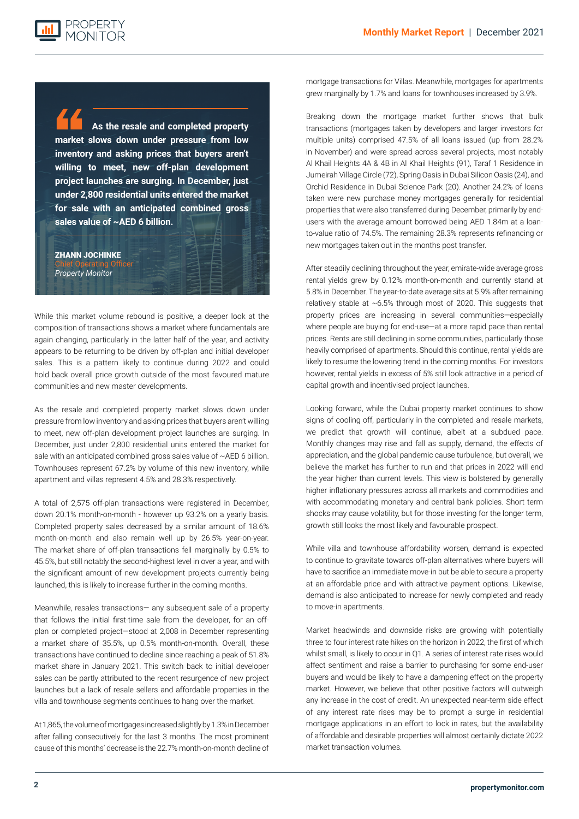PROPERTY

**As the resale and completed property market slows down under pressure from low inventory and asking prices that buyers aren't willing to meet, new off-plan development project launches are surging. In December, just under 2,800 residential units entered the market for sale with an anticipated combined gross sales value of ~AED 6 billion.**

### ZHANN JOCHINKE Chief Operating Officer *Property Monitor*

**Looking forward, while the Dubai property market is starting to show signs of cooling off, it is likely that growth**  wild back property in the villa and town in the villa and the United States and the United States and interaction continues to grow in the United States segments in the United States and inflation continues to grow in the United Sta While this market volume rebound is positive, a deeper look at the composition of transactions shows a market where fundamentals are again changing, particularly in the latter half of the year, and activity appears to be returning to be driven by off-plan and initial developer sales. This is a pattern likely to continue during 2022 and could hold back overall price growth outside of the most favoured mature communities and new master developments.

> As the resale and completed property market slows down under pressure from low inventory and asking prices that buyers aren't willing to meet, new off-plan development project launches are surging. In December, just under 2,800 residential units entered the market for sale with an anticipated combined gross sales value of ~AED 6 billion. Townhouses represent 67.2% by volume of this new inventory, while apartment and villas represent 4.5% and 28.3% respectively.

> A total of 2,575 off-plan transactions were registered in December, down 20.1% month-on-month - however up 93.2% on a yearly basis. Completed property sales decreased by a similar amount of 18.6% month-on-month and also remain well up by 26.5% year-on-year. The market share of off-plan transactions fell marginally by 0.5% to 45.5%, but still notably the second-highest level in over a year, and with the significant amount of new development projects currently being launched, this is likely to increase further in the coming months.

> Meanwhile, resales transactions— any subsequent sale of a property that follows the initial first-time sale from the developer, for an offplan or completed project—stood at 2,008 in December representing a market share of 35.5%, up 0.5% month-on-month. Overall, these transactions have continued to decline since reaching a peak of 51.8% market share in January 2021. This switch back to initial developer sales can be partly attributed to the recent resurgence of new project launches but a lack of resale sellers and affordable properties in the villa and townhouse segments continues to hang over the market.

> At 1,865, the volume of mortgages increased slightly by 1.3% in December after falling consecutively for the last 3 months. The most prominent cause of this months' decrease is the 22.7% month-on-month decline of

mortgage transactions for Villas. Meanwhile, mortgages for apartments grew marginally by 1.7% and loans for townhouses increased by 3.9%.

Breaking down the mortgage market further shows that bulk transactions (mortgages taken by developers and larger investors for multiple units) comprised 47.5% of all loans issued (up from 28.2% in November) and were spread across several projects, most notably Al Khail Heights 4A & 4B in Al Khail Heights (91), Taraf 1 Residence in Jumeirah Village Circle (72), Spring Oasis in Dubai Silicon Oasis (24), and Orchid Residence in Dubai Science Park (20). Another 24.2% of loans taken were new purchase money mortgages generally for residential properties that were also transferred during December, primarily by endusers with the average amount borrowed being AED 1.84m at a loanto-value ratio of 74.5%. The remaining 28.3% represents refinancing or new mortgages taken out in the months post transfer.

After steadily declining throughout the year, emirate-wide average gross rental yields grew by 0.12% month-on-month and currently stand at 5.8% in December. The year-to-date average sits at 5.9% after remaining relatively stable at ~6.5% through most of 2020. This suggests that property prices are increasing in several communities—especially where people are buying for end-use—at a more rapid pace than rental prices. Rents are still declining in some communities, particularly those heavily comprised of apartments. Should this continue, rental yields are likely to resume the lowering trend in the coming months. For investors however, rental yields in excess of 5% still look attractive in a period of capital growth and incentivised project launches.

Looking forward, while the Dubai property market continues to show signs of cooling off, particularly in the completed and resale markets, we predict that growth will continue, albeit at a subdued pace. Monthly changes may rise and fall as supply, demand, the effects of appreciation, and the global pandemic cause turbulence, but overall, we believe the market has further to run and that prices in 2022 will end the year higher than current levels. This view is bolstered by generally higher inflationary pressures across all markets and commodities and with accommodating monetary and central bank policies. Short term shocks may cause volatility, but for those investing for the longer term, growth still looks the most likely and favourable prospect.

While villa and townhouse affordability worsen, demand is expected to continue to gravitate towards off-plan alternatives where buyers will have to sacrifice an immediate move-in but be able to secure a property at an affordable price and with attractive payment options. Likewise, demand is also anticipated to increase for newly completed and ready to move-in apartments.

Market headwinds and downside risks are growing with potentially three to four interest rate hikes on the horizon in 2022, the first of which whilst small, is likely to occur in Q1. A series of interest rate rises would affect sentiment and raise a barrier to purchasing for some end-user buyers and would be likely to have a dampening effect on the property market. However, we believe that other positive factors will outweigh any increase in the cost of credit. An unexpected near-term side effect of any interest rate rises may be to prompt a surge in residential mortgage applications in an effort to lock in rates, but the availability of affordable and desirable properties will almost certainly dictate 2022 market transaction volumes.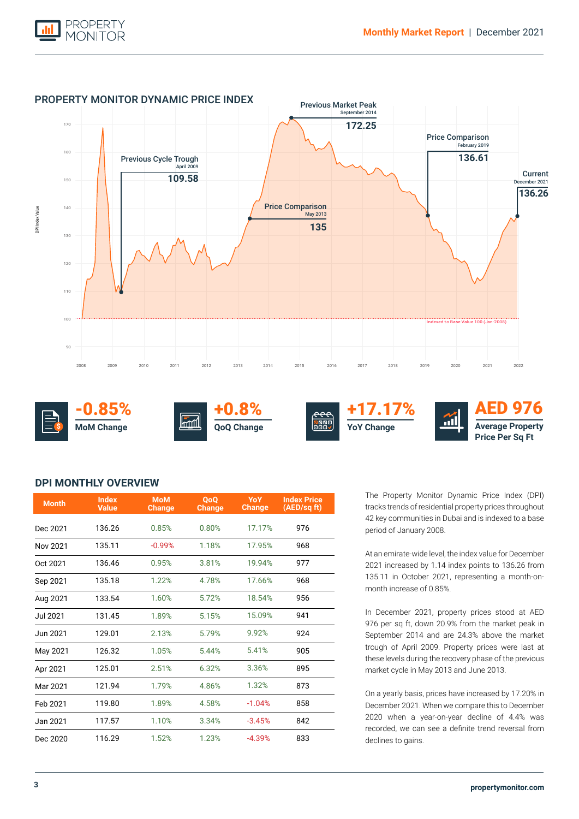



# **DPI MONTHLY OVERVIEW**

| <b>Month</b>    | <b>Index</b><br><b>Value</b> | <b>MoM</b><br><b>Change</b> | <b>OoO</b><br><b>Change</b> | <b>YoY</b><br>Change | <b>Index Price</b><br>(AED/sq ft) |
|-----------------|------------------------------|-----------------------------|-----------------------------|----------------------|-----------------------------------|
| Dec 2021        | 136.26                       | 0.85%                       | 0.80%                       | 17.17%               | 976                               |
| Nov 2021        | 135.11                       | $-0.99%$                    | 1.18%                       | 17.95%               | 968                               |
| Oct 2021        | 136.46                       | 0.95%                       | 3.81%                       | 19.94%               | 977                               |
| Sep 2021        | 135.18                       | 1.22%                       | 4.78%                       | 17.66%               | 968                               |
| Aug 2021        | 133.54                       | 1.60%                       | 5.72%                       | 18.54%               | 956                               |
| <b>Jul 2021</b> | 131.45                       | 1.89%                       | 5.15%                       | 15.09%               | 941                               |
| Jun 2021        | 129.01                       | 2.13%                       | 5.79%                       | 9.92%                | 924                               |
| May 2021        | 126.32                       | 1.05%                       | 5.44%                       | 5.41%                | 905                               |
| Apr 2021        | 125.01                       | 2.51%                       | 6.32%                       | 3.36%                | 895                               |
| Mar 2021        | 121.94                       | 1.79%                       | 4.86%                       | 1.32%                | 873                               |
| Feb 2021        | 119.80                       | 1.89%                       | 4.58%                       | $-1.04%$             | 858                               |
| Jan 2021        | 117.57                       | 1.10%                       | 3.34%                       | $-3.45%$             | 842                               |
| Dec 2020        | 116.29                       | 1.52%                       | 1.23%                       | $-4.39%$             | 833                               |

The Property Monitor Dynamic Price Index (DPI) tracks trends of residential property prices throughout 42 key communities in Dubai and is indexed to a base period of January 2008.

At an emirate-wide level, the index value for December 2021 increased by 1.14 index points to 136.26 from 135.11 in October 2021, representing a month-onmonth increase of 0.85%.

In December 2021, property prices stood at AED 976 per sq ft, down 20.9% from the market peak in September 2014 and are 24.3% above the market trough of April 2009. Property prices were last at these levels during the recovery phase of the previous market cycle in May 2013 and June 2013.

On a yearly basis, prices have increased by 17.20% in December 2021. When we compare this to December 2020 when a year-on-year decline of 4.4% was recorded, we can see a definite trend reversal from declines to gains.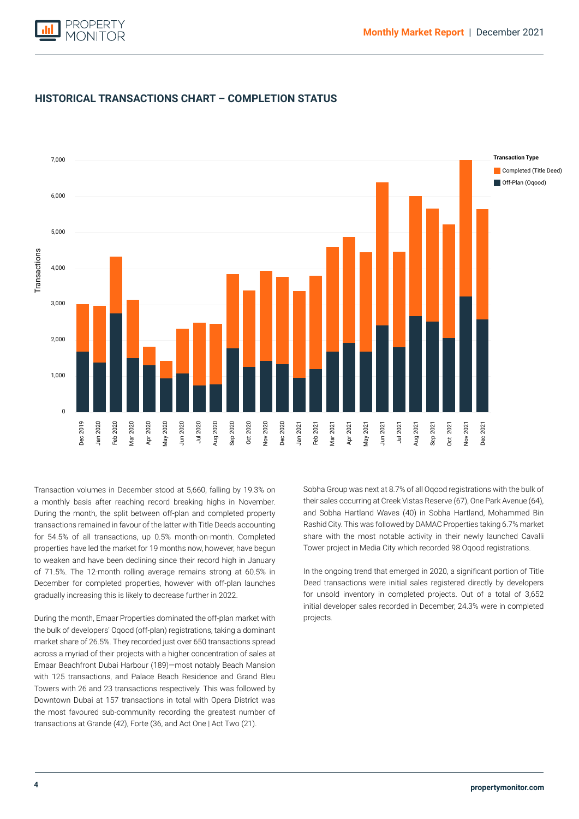



# **HISTORICAL TRANSACTIONS CHART – COMPLETION STATUS**

transactions remained in favour of the latter with Title Deeds accounting for 54.5% of all transactions, up 0.5% month-on-month. Completed Transaction volumes in December stood at 5,660, falling by 19.3% on a monthly basis after reaching record breaking highs in November. During the month, the split between off-plan and completed property properties have led the market for 19 months now, however, have begun to weaken and have been declining since their record high in January of 71.5%. The 12-month rolling average remains strong at 60.5% in December for completed properties, however with off-plan launches gradually increasing this is likely to decrease further in 2022.

During the month, Emaar Properties dominated the off-plan market with the bulk of developers' Oqood (off-plan) registrations, taking a dominant market share of 26.5%. They recorded just over 650 transactions spread across a myriad of their projects with a higher concentration of sales at Emaar Beachfront Dubai Harbour (189)—most notably Beach Mansion with 125 transactions, and Palace Beach Residence and Grand Bleu Towers with 26 and 23 transactions respectively. This was followed by Downtown Dubai at 157 transactions in total with Opera District was the most favoured sub-community recording the greatest number of transactions at Grande (42), Forte (36, and Act One | Act Two (21).

Sobha Group was next at 8.7% of all Oqood registrations with the bulk of their sales occurring at Creek Vistas Reserve (67), One Park Avenue (64), and Sobha Hartland Waves (40) in Sobha Hartland, Mohammed Bin Rashid City. This was followed by DAMAC Properties taking 6.7% market share with the most notable activity in their newly launched Cavalli Tower project in Media City which recorded 98 Oqood registrations.

In the ongoing trend that emerged in 2020, a significant portion of Title Deed transactions were initial sales registered directly by developers for unsold inventory in completed projects. Out of a total of 3,652 initial developer sales recorded in December, 24.3% were in completed projects.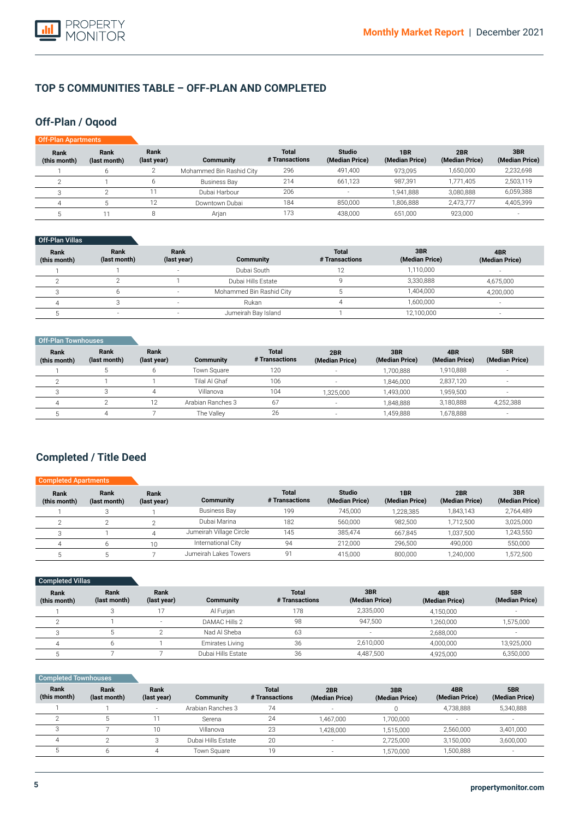

# **TOP 5 COMMUNITIES TABLE – OFF-PLAN AND COMPLETED**

# **Off-Plan / Oqood**

| Off-Plan Apartments  |                      |                     |                          |                                |                                 |                                   |                       |                       |
|----------------------|----------------------|---------------------|--------------------------|--------------------------------|---------------------------------|-----------------------------------|-----------------------|-----------------------|
| Rank<br>(this month) | Rank<br>(last month) | Rank<br>(last year) | <b>Community</b>         | <b>Total</b><br># Transactions | <b>Studio</b><br>(Median Price) | 1 <sub>BR</sub><br>(Median Price) | 2BR<br>(Median Price) | 3BR<br>(Median Price) |
|                      |                      |                     | Mohammed Bin Rashid City | 296                            | 491,400                         | 973.095                           | 1,650,000             | 2,232,698             |
|                      |                      | 6                   | <b>Business Bay</b>      | 214                            | 661.123                         | 987.391                           | 1.771.405             | 2,503,119             |
|                      |                      |                     | Dubai Harbour            | 206                            | $\overline{\phantom{a}}$        | 1.941.888                         | 3.080.888             | 6,059,388             |
|                      |                      | 12                  | Downtown Dubai           | 184                            | 850,000                         | 1.806.888                         | 2.473.777             | 4,405,399             |
|                      |                      |                     | Arjan                    | 173                            | 438.000                         | 651.000                           | 923,000               |                       |

### Off-Plan Villas

| Rank<br>(this month) | Rank<br>(last month) | Rank<br>(last year) | Community                | <b>Total</b><br># Transactions | 3BR<br>(Median Price) | 4BR<br>(Median Price) |
|----------------------|----------------------|---------------------|--------------------------|--------------------------------|-----------------------|-----------------------|
|                      |                      |                     | Dubai South              |                                | 1.110.000             |                       |
|                      |                      |                     | Dubai Hills Estate       |                                | 3,330,888             | 4,675,000             |
|                      |                      |                     | Mohammed Bin Rashid City |                                | 1,404,000             | 4,200,000             |
|                      |                      |                     | Rukan                    |                                | 1,600,000             |                       |
|                      |                      |                     | Jumeirah Bay Island      |                                | 12,100,000            |                       |

| Off-Plan Townhouses         |                      |                     |                   |                                |                       |                       |                       |                          |
|-----------------------------|----------------------|---------------------|-------------------|--------------------------------|-----------------------|-----------------------|-----------------------|--------------------------|
| <b>Rank</b><br>(this month) | Rank<br>(last month) | Rank<br>(last year) | Community         | <b>Total</b><br># Transactions | 2BR<br>(Median Price) | 3BR<br>(Median Price) | 4BR<br>(Median Price) | 5BR<br>(Median Price)    |
|                             |                      |                     | Town Square       | 120                            |                       | 1.700.888             | 1,910,888             | -                        |
|                             |                      |                     | Tilal Al Ghaf     | 106                            |                       | 1.846.000             | 2,837,120             | $\overline{\phantom{a}}$ |
|                             |                      |                     | Villanova         | 104                            | 1,325,000             | 1,493,000             | 1,959,500             | $\sim$                   |
| $\Delta$                    |                      | 12                  | Arabian Ranches 3 | 67                             | -                     | 1.848.888             | 3,180,888             | 4,252,388                |
|                             |                      |                     | The Valley        | 26                             | $\sim$                | 1,459,888             | 1,678,888             | $\overline{\phantom{a}}$ |

# **Completed / Title Deed**

| <b>Completed Apartments</b> |                      |                     |                         |                                |                                 |                       |                       |                       |
|-----------------------------|----------------------|---------------------|-------------------------|--------------------------------|---------------------------------|-----------------------|-----------------------|-----------------------|
| Rank<br>(this month)        | Rank<br>(last month) | Rank<br>(last year) | Community               | <b>Total</b><br># Transactions | <b>Studio</b><br>(Median Price) | 1BR<br>(Median Price) | 2BR<br>(Median Price) | 3BR<br>(Median Price) |
|                             |                      |                     | <b>Business Bay</b>     | 199                            | 745.000                         | 1,228,385             | 1.843.143             | 2,764,489             |
|                             |                      |                     | Dubai Marina            | 182                            | 560.000                         | 982.500               | 1.712.500             | 3,025,000             |
|                             |                      |                     | Jumeirah Village Circle | 145                            | 385.474                         | 667.845               | 1.037.500             | 1,243,550             |
|                             |                      | 10                  | International City      | 94                             | 212,000                         | 296.500               | 490.000               | 550,000               |
|                             |                      |                     | Jumeirah Lakes Towers   | 91                             | 415.000                         | 800,000               | 1,240,000             | ,572,500              |

| Completed Villas     |                      |                          |                    |                                |                       |                       |                       |
|----------------------|----------------------|--------------------------|--------------------|--------------------------------|-----------------------|-----------------------|-----------------------|
| Rank<br>(this month) | Rank<br>(last month) | Rank<br>(last year)      | <b>Community</b>   | <b>Total</b><br># Transactions | 3BR<br>(Median Price) | 4BR<br>(Median Price) | 5BR<br>(Median Price) |
|                      |                      |                          | Al Furjan          | 178                            | 2,335,000             | 4,150,000             |                       |
|                      |                      | $\overline{\phantom{a}}$ | DAMAC Hills 2      | 98                             | 947.500               | 1,260,000             | 1,575,000             |
|                      |                      |                          | Nad Al Sheba       | 63                             | $\sim$                | 2,688,000             |                       |
| 4                    |                      |                          | Emirates Living    | 36                             | 2,610,000             | 4,000,000             | 13,925,000            |
|                      |                      |                          | Dubai Hills Estate | 36                             | 4,487,500             | 4,925,000             | 6,350,000             |

| Completed Townhouses |                      |                          |                    |                                |                          |                       |                       |                          |
|----------------------|----------------------|--------------------------|--------------------|--------------------------------|--------------------------|-----------------------|-----------------------|--------------------------|
| Rank<br>(this month) | Rank<br>(last month) | Rank<br>(last year)      | <b>Community</b>   | <b>Total</b><br># Transactions | 2BR<br>(Median Price)    | 3BR<br>(Median Price) | 4BR<br>(Median Price) | 5BR<br>(Median Price)    |
|                      |                      | $\overline{\phantom{a}}$ | Arabian Ranches 3  | 74                             |                          |                       | 4.738.888             | 5,340,888                |
|                      |                      |                          | Serena             | 24                             | 1.467.000                | 1.700.000             |                       |                          |
|                      |                      | 10                       | Villanova          | 23                             | 1.428.000                | 1,515,000             | 2,560,000             | 3,401,000                |
| 4                    |                      |                          | Dubai Hills Estate | 20                             | $\overline{\phantom{a}}$ | 2,725,000             | 3,150,000             | 3,600,000                |
|                      |                      |                          | Town Square        | 19                             |                          | 1,570,000             | 1,500,888             | $\overline{\phantom{a}}$ |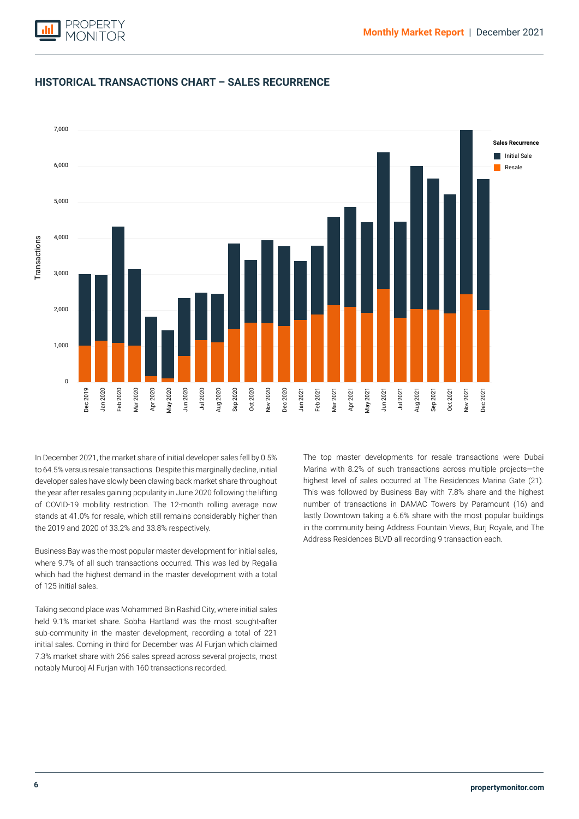

# **HISTORICAL TRANSACTIONS CHART – SALES RECURRENCE**



the year after resales gaining popularity in June 2020 following the lifting Initial Sale of COVID-19 mobility restriction. The 12-month rolling average now In December 2021, the market share of initial developer sales fell by 0.5% to 64.5% versus resale transactions. Despite this marginally decline, initial developer sales have slowly been clawing back market share throughout stands at 41.0% for resale, which still remains considerably higher than the 2019 and 2020 of 33.2% and 33.8% respectively.

Business Bay was the most popular master development for initial sales, where 9.7% of all such transactions occurred. This was led by Regalia which had the highest demand in the master development with a total of 125 initial sales.

Taking second place was Mohammed Bin Rashid City, where initial sales held 9.1% market share. Sobha Hartland was the most sought-after sub-community in the master development, recording a total of 221 initial sales. Coming in third for December was Al Furjan which claimed 7.3% market share with 266 sales spread across several projects, most notably Murooj Al Furjan with 160 transactions recorded.

The top master developments for resale transactions were Dubai Marina with 8.2% of such transactions across multiple projects—the highest level of sales occurred at The Residences Marina Gate (21). This was followed by Business Bay with 7.8% share and the highest number of transactions in DAMAC Towers by Paramount (16) and lastly Downtown taking a 6.6% share with the most popular buildings in the community being Address Fountain Views, Burj Royale, and The Address Residences BLVD all recording 9 transaction each.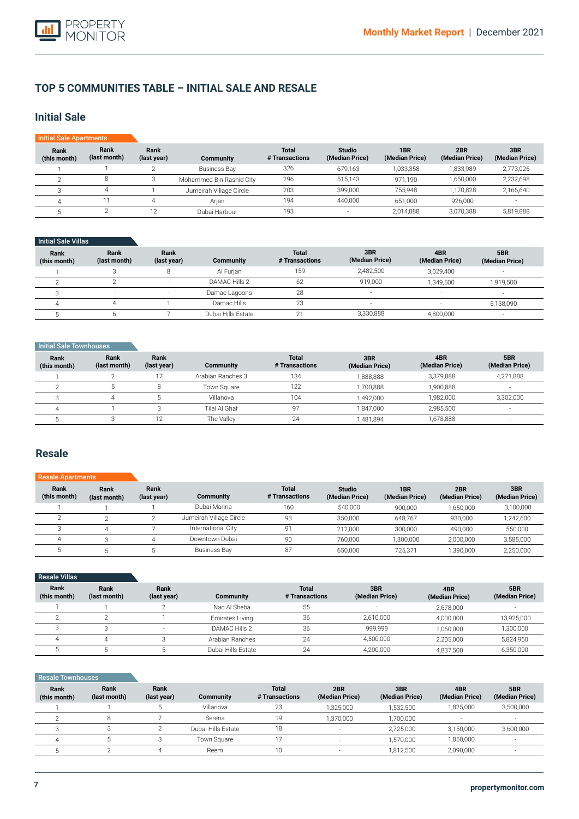# **TOP 5 COMMUNITIES TABLE – INITIAL SALE AND RESALE**

# **Initial Sale**

| <b>Initial Sale Apartments</b> |                      |                     |                          |                                |                                 |                       |                       |                       |
|--------------------------------|----------------------|---------------------|--------------------------|--------------------------------|---------------------------------|-----------------------|-----------------------|-----------------------|
| Rank<br>(this month)           | Rank<br>(last month) | Rank<br>(last year) | Community                | <b>Total</b><br># Transactions | <b>Studio</b><br>(Median Price) | 1BR<br>(Median Price) | 2BR<br>(Median Price) | 3BR<br>(Median Price) |
|                                |                      |                     | Business Bay             | 326                            | 679,163                         | 1,033,358             | 1,833,989             | 2,773,026             |
|                                | 8                    |                     | Mohammed Bin Rashid City | 296                            | 515.143                         | 971.190               | 1,650,000             | 2,232,698             |
|                                |                      |                     | Jumeirah Village Circle  | 203                            | 399,000                         | 755.948               | 1.170.828             | 2,166,640             |
|                                |                      |                     | Arian                    | 194                            | 440.000                         | 651.000               | 926.000               |                       |
|                                |                      |                     | Dubai Harbour            | 193                            | -                               | 2,014,888             | 3,070,388             | 5,819,888             |

## Initial Sale Villas

| Rank<br>(this month) | Rank<br>(last month) | Rank<br>(last year)      | <b>Community</b>   | <b>Total</b><br># Transactions | 3BR<br>(Median Price)    | 4BR<br>(Median Price)    | 5BR<br>(Median Price)    |
|----------------------|----------------------|--------------------------|--------------------|--------------------------------|--------------------------|--------------------------|--------------------------|
|                      |                      |                          | Al Furian          | 159                            | 2.482.500                | 3.029.400                |                          |
|                      |                      | $\overline{\phantom{a}}$ | DAMAC Hills 2      | 62                             | 919.000                  | 1.349.500                | 1,919,500                |
|                      | $\sim$               | $\overline{\phantom{a}}$ | Damac Lagoons      | 28                             | $\overline{\phantom{a}}$ | $\overline{\phantom{a}}$ |                          |
|                      |                      |                          | Damac Hills        | 23                             | $\overline{\phantom{a}}$ |                          | 5,138,090                |
|                      |                      |                          | Dubai Hills Estate | $\sim$                         | 3,330,888                | 4,800,000                | $\overline{\phantom{a}}$ |

### **Initial Sale Townhouses**

| Rank<br>(this month) | Rank<br>(last month) | Rank<br>(last year) | <b>Community</b>  | <b>Total</b><br># Transactions | 3BR<br>(Median Price) | 4BR<br>(Median Price) | 5BR<br>(Median Price) |
|----------------------|----------------------|---------------------|-------------------|--------------------------------|-----------------------|-----------------------|-----------------------|
|                      |                      |                     | Arabian Ranches 3 | 134                            | 1.888.888             | 3,379,888             | 4,271,888             |
|                      |                      | C                   | Town Square       | 122                            | ,700,888              | 1.900.888             |                       |
|                      |                      |                     | Villanova         | 104                            | 1,492,000             | 1,982,000             | 3,302,000             |
|                      |                      |                     | Tilal Al Ghaf     | 97                             | 1,847,000             | 2.985.500             | $-$                   |
|                      |                      | 12                  | The Valley        | 24                             | 1,481,894             | 678,888               |                       |

# **Resale**

# Resale Apartments

| Rank<br>(this month) | Rank<br>(last month) | Rank<br>(last year) | <b>Community</b>        | <b>Total</b><br># Transactions | <b>Studio</b><br>(Median Price) | 1BR<br>(Median Price) | 2BR<br>(Median Price) | 3BR<br>(Median Price) |
|----------------------|----------------------|---------------------|-------------------------|--------------------------------|---------------------------------|-----------------------|-----------------------|-----------------------|
|                      |                      |                     | Dubai Marina            | 160                            | 540.000                         | 900.000               | 1.650.000             | 3,100,000             |
|                      |                      |                     | Jumeirah Village Circle | 93                             | 350.000                         | 648.767               | 930.000               | 1,242,600             |
|                      |                      |                     | International City      | 91                             | 212.000                         | 300,000               | 490.000               | 550,000               |
|                      |                      |                     | Downtown Dubai          | 90                             | 760.000                         | 1,300,000             | 2.000.000             | 3,585,000             |
|                      |                      |                     | <b>Business Bay</b>     | 87                             | 650.000                         | 725.371               | 1.390.000             | 2,250,000             |

| <b>Resale Villas</b> |                      |                     |                    |                                |                       |                       |                       |
|----------------------|----------------------|---------------------|--------------------|--------------------------------|-----------------------|-----------------------|-----------------------|
| Rank<br>(this month) | Rank<br>(last month) | Rank<br>(last year) | Community          | <b>Total</b><br># Transactions | 3BR<br>(Median Price) | 4BR<br>(Median Price) | 5BR<br>(Median Price) |
|                      |                      |                     | Nad Al Sheba       | 55                             |                       | 2,678,000             |                       |
|                      |                      |                     | Emirates Living    | 36                             | 2,610,000             | 4,000,000             | 13,925,000            |
|                      |                      |                     | DAMAC Hills 2      | 36                             | 999.999               | 1,060,000             | 1,300,000             |
|                      |                      |                     | Arabian Ranches    | 24                             | 4,500,000             | 2,205,000             | 5,824,950             |
|                      |                      |                     | Dubai Hills Estate | 24                             | 4,200,000             | 4,837,500             | 6,350,000             |

## **Resale Townhouses**

| Rank<br>(this month) | Rank<br>(last month) | Rank<br>(last year) | Community          | <b>Total</b><br># Transactions | 2BR<br>(Median Price) | 3BR<br>(Median Price) | 4BR<br>(Median Price)    | 5BR<br>(Median Price) |
|----------------------|----------------------|---------------------|--------------------|--------------------------------|-----------------------|-----------------------|--------------------------|-----------------------|
|                      |                      |                     | Villanova          | 23                             | 1.325.000             | ,532,500              | 1,825,000                | 3,500,000             |
|                      |                      |                     | Serena             |                                | 1,370,000             | .700.000              | $\overline{\phantom{a}}$ | -                     |
|                      |                      |                     | Dubai Hills Estate | 18                             |                       | 2.725.000             | 3,150,000                | 3,600,000             |
|                      |                      |                     | Town Square        |                                |                       | 1.570.000             | 1,850,000                | ۰.                    |
|                      |                      |                     | Reem               |                                | - 2                   | 1,812,500             | 2,090,000                | н.                    |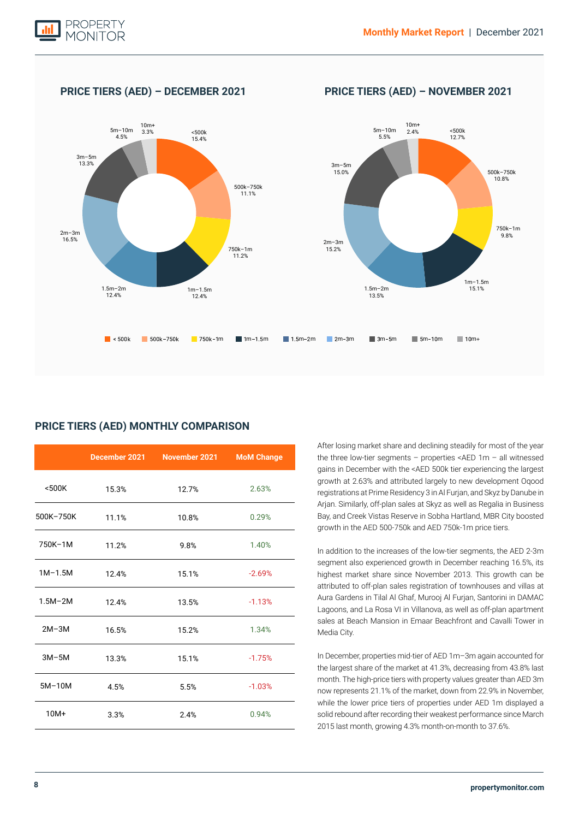

**PRICE TIERS (AED) – DECEMBER 2021 PRICE TIERS (AED) – NOVEMBER 2021**



# **PRICE TIERS (AED) MONTHLY COMPARISON**

|             |       | December 2021 November 2021 | <b>MoM Change</b> |
|-------------|-------|-----------------------------|-------------------|
| $500K$      | 15.3% | 12.7%                       | 2.63%             |
| 500K-750K   | 11.1% | 10.8%                       | 0.29%             |
| 750K-1M     | 11.2% | 9.8%                        | 1.40%             |
| $1M-1.5M$   | 12.4% | 15.1%                       | $-2.69%$          |
| $1.5M - 2M$ | 12.4% | 13.5%                       | $-1.13%$          |
| $2M-3M$     | 16.5% | 15.2%                       | 1.34%             |
| $3M-5M$     | 13.3% | 15.1%                       | $-1.75%$          |
| $5M-10M$    | 4.5%  | 5.5%                        | $-1.03%$          |
| $10M+$      | 3.3%  | 2.4%                        | 0.94%             |

After losing market share and declining steadily for most of the year the three low-tier segments – properties <AED 1m – all witnessed gains in December with the <AED 500k tier experiencing the largest growth at 2.63% and attributed largely to new development Oqood registrations at Prime Residency 3 in Al Furjan, and Skyz by Danube in Arjan. Similarly, off-plan sales at Skyz as well as Regalia in Business Bay, and Creek Vistas Reserve in Sobha Hartland, MBR City boosted growth in the AED 500-750k and AED 750k-1m price tiers.

In addition to the increases of the low-tier segments, the AED 2-3m segment also experienced growth in December reaching 16.5%, its highest market share since November 2013. This growth can be attributed to off-plan sales registration of townhouses and villas at Aura Gardens in Tilal Al Ghaf, Murooj Al Furjan, Santorini in DAMAC Lagoons, and La Rosa VI in Villanova, as well as off-plan apartment sales at Beach Mansion in Emaar Beachfront and Cavalli Tower in Media City.

In December, properties mid-tier of AED 1m–3m again accounted for the largest share of the market at 41.3%, decreasing from 43.8% last month. The high-price tiers with property values greater than AED 3m now represents 21.1% of the market, down from 22.9% in November, while the lower price tiers of properties under AED 1m displayed a solid rebound after recording their weakest performance since March 2015 last month, growing 4.3% month-on-month to 37.6%.